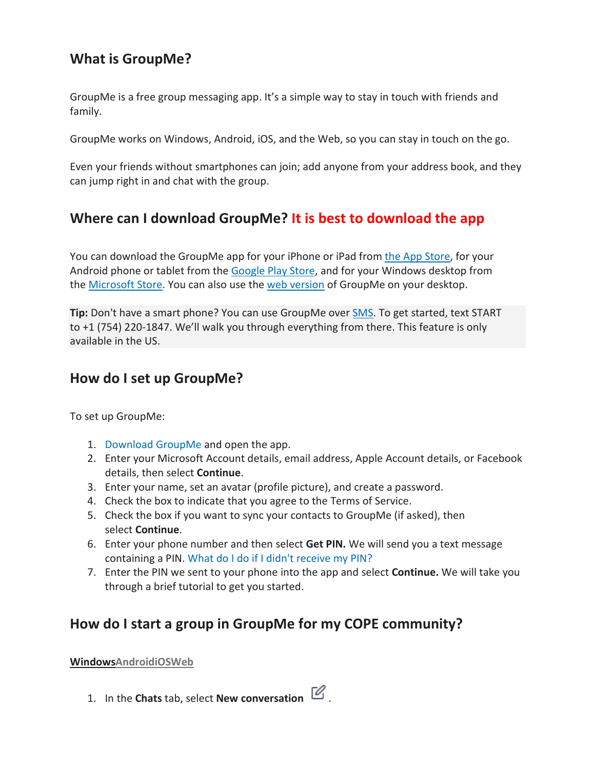# **What is GroupMe?**

GroupMe is a free group messaging app. It's a simple way to stay in touch with friends and family.

GroupMe works on Windows, Android, iOS, and the Web, so you can stay in touch on the go.

Even your friends without smartphones can join; add anyone from your address book, and they can jump right in and chat with the group.

# **Where can I download GroupMe? It is best to download the app**

You can download the GroupMe app for your iPhone or iPad from [the App Store,](https://apps.apple.com/us/app/groupme-for-iphone/id392796698) for your Android phone or tablet from the [Google Play Store,](https://play.google.com/store/apps/details?id=com.groupme.android) and for your Windows desktop from the [Microsoft Store.](https://www.microsoft.com/p/groupme/9nblggh5z4f2) You can also use the [web version](https://app.groupme.com/signup) of GroupMe on your desktop.

**Tip:** Don't have a smart phone? You can use GroupMe over [SMS.](https://groupme.com/sms) To get started, text START to +1 (754) 220-1847. We'll walk you through everything from there. This feature is only available in the US.

# **How do I set up GroupMe?**

To set up GroupMe:

- 1. [Download GroupMe](https://support.microsoft.com/en-us/office/where-can-i-download-groupme-9b5f998b-d5af-410b-b022-42a32a09a79f) and open the app.
- 2. Enter your Microsoft Account details, email address, Apple Account details, or Facebook details, then select **Continue**.
- 3. Enter your name, set an avatar (profile picture), and create a password.
- 4. Check the box to indicate that you agree to the Terms of Service.
- 5. Check the box if you want to sync your contacts to GroupMe (if asked), then select **Continue**.
- 6. Enter your phone number and then select **Get PIN.** We will send you a text message containing a PIN. [What do I do if I didn't receive my PIN?](https://support.microsoft.com/en-us/office/what-do-i-do-if-i-didn-t-receive-my-groupme-pin-75d035d9-7496-466f-ae3f-63ea16e18d51)
- 7. Enter the PIN we sent to your phone into the app and select **Continue.** We will take you through a brief tutorial to get you started.

# **How do I start a group in GroupMe for my COPE community?**

### **[WindowsAndroidiOSWeb](javascript:)**

1. In the **Chats** tab, select **New conversation**  $\boxed{\mathscr{C}}$ .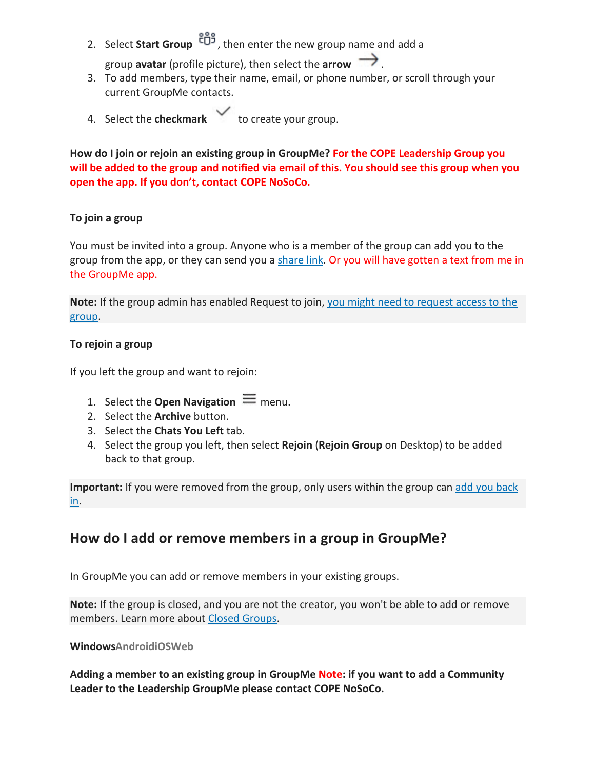2. Select **Start Group**  $\frac{25}{3}$ , then enter the new group name and add a

group **avatar** (profile picture), then select the **arrow**  $\rightarrow$ .

- 3. To add members, type their name, email, or phone number, or scroll through your current GroupMe contacts.
- 4. Select the **checkmark** to create your group.

**How do I join or rejoin an existing group in GroupMe? For the COPE Leadership Group you will be added to the group and notified via email of this. You should see this group when you open the app. If you don't, contact COPE NoSoCo.** 

#### **To join a group**

You must be invited into a group. Anyone who is a member of the group can add you to the group from the app, or they can send you a [share link.](https://support.microsoft.com/en-us/office/how-do-i-create-a-share-link-in-groupme-47ded1b7-e92d-4620-b3ff-b3d3740db761) Or you will have gotten a text from me in the GroupMe app.

**Note:** If the group admin has enabled Request to join, you might need to [request access to the](https://support.microsoft.com/en-us/office/what-is-request-to-join-in-groupme-and-how-can-i-use-it-af8debf2-d897-4b04-83ae-73ad77960605)  [group.](https://support.microsoft.com/en-us/office/what-is-request-to-join-in-groupme-and-how-can-i-use-it-af8debf2-d897-4b04-83ae-73ad77960605)

#### **To rejoin a group**

If you left the group and want to rejoin:

- 1. Select the **Open Navigation**  $\equiv$  menu.
- 2. Select the **Archive** button.
- 3. Select the **Chats You Left** tab.
- 4. Select the group you left, then select **Rejoin** (**Rejoin Group** on Desktop) to be added back to that group.

**Important:** If you were removed from the group, only users within the group can [add you back](https://support.microsoft.com/en-us/office/how-do-i-add-or-remove-members-in-a-group-in-groupme-a54ddfa5-f59e-4957-94c4-f87c6b552cbf)  [in.](https://support.microsoft.com/en-us/office/how-do-i-add-or-remove-members-in-a-group-in-groupme-a54ddfa5-f59e-4957-94c4-f87c6b552cbf)

# **How do I add or remove members in a group in GroupMe?**

In GroupMe you can add or remove members in your existing groups.

**Note:** If the group is closed, and you are not the creator, you won't be able to add or remove members. Learn more about [Closed Groups.](https://support.microsoft.com/en-us/office/what-are-closed-groups-in-groupme-40d97b12-229e-4d7e-b120-585e7c547d84)

#### **[WindowsAndroidiOSWeb](javascript:)**

**Adding a member to an existing group in GroupMe Note: if you want to add a Community Leader to the Leadership GroupMe please contact COPE NoSoCo.**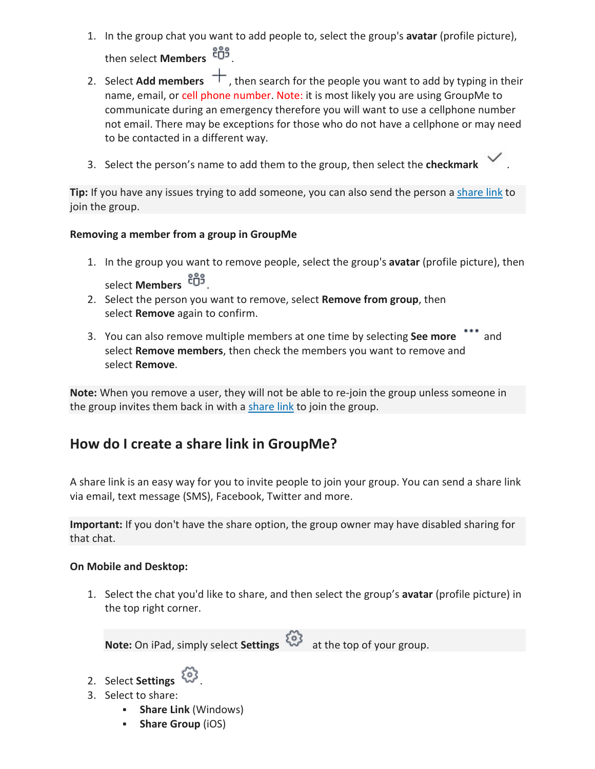- 1. In the group chat you want to add people to, select the group's **avatar** (profile picture), then select **Members** εຶປີ້
- 2. Select **Add members**  $\pm$ , then search for the people you want to add by typing in their name, email, or cell phone number. Note: it is most likely you are using GroupMe to communicate during an emergency therefore you will want to use a cellphone number not email. There may be exceptions for those who do not have a cellphone or may need to be contacted in a different way.
- 3. Select the person's name to add them to the group, then select the **checkmark** .

**Tip:** If you have any issues trying to add someone, you can also send the person a [share](https://support.microsoft.com/en-us/office/how-do-i-create-a-share-link-in-groupme-47ded1b7-e92d-4620-b3ff-b3d3740db761) link to join the group.

### **Removing a member from a group in GroupMe**

- 1. In the group you want to remove people, select the group's **avatar** (profile picture), then select **Members** .
- 2. Select the person you want to remove, select **Remove from group**, then select **Remove** again to confirm.
- 3. You can also remove multiple members at one time by selecting **See more and** select **Remove members**, then check the members you want to remove and select **Remove**.

**Note:** When you remove a user, they will not be able to re-join the group unless someone in the group invites them back in with a [share](https://support.microsoft.com/en-us/office/how-do-i-create-a-share-link-in-groupme-47ded1b7-e92d-4620-b3ff-b3d3740db761) link to join the group.

# **How do I create a share link in GroupMe?**

A share link is an easy way for you to invite people to join your group. You can send a share link via email, text message (SMS), Facebook, Twitter and more.

**Important:** If you don't have the share option, the group owner may have disabled sharing for that chat.

#### **On Mobile and Desktop:**

1. Select the chat you'd like to share, and then select the group's **avatar** (profile picture) in the top right corner.

**Note:** On iPad, simply select **Settings** at the top of your group.

- 2. Select **Settings** .
- 3. Select to share:
	- **Share Link** (Windows)
	- **Share Group** (iOS)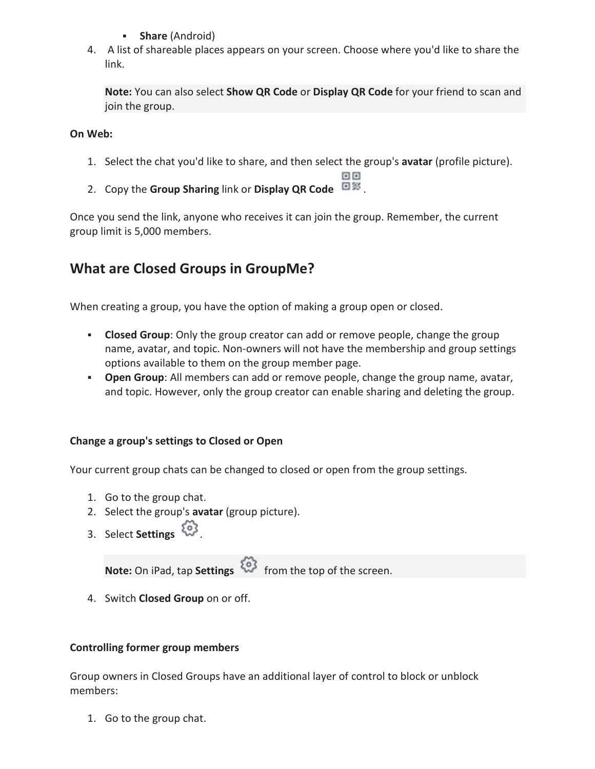- **Share** (Android)
- 4. A list of shareable places appears on your screen. Choose where you'd like to share the link.

**Note:** You can also select **Show QR Code** or **Display QR Code** for your friend to scan and join the group.

回回

### **On Web:**

- 1. Select the chat you'd like to share, and then select the group's **avatar** (profile picture).
- 2. Copy the **Group Sharing** link or **Display QR Code 回** ...

Once you send the link, anyone who receives it can join the group. Remember, the current group limit is 5,000 members.

# **What are Closed Groups in GroupMe?**

When creating a group, you have the option of making a group open or closed.

- **Closed Group**: Only the group creator can add or remove people, change the group name, avatar, and topic. Non-owners will not have the membership and group settings options available to them on the group member page.
- **Open Group**: All members can add or remove people, change the group name, avatar, and topic. However, only the group creator can enable sharing and deleting the group.

### **Change a group's settings to Closed or Open**

Your current group chats can be changed to closed or open from the group settings.

- 1. Go to the group chat.
- 2. Select the group's **avatar** (group picture).
- 3. Select **Settings** .

**Note:** On iPad, tap **Settings** from the top of the screen.

4. Switch **Closed Group** on or off.

### **Controlling former group members**

Group owners in Closed Groups have an additional layer of control to block or unblock members:

1. Go to the group chat.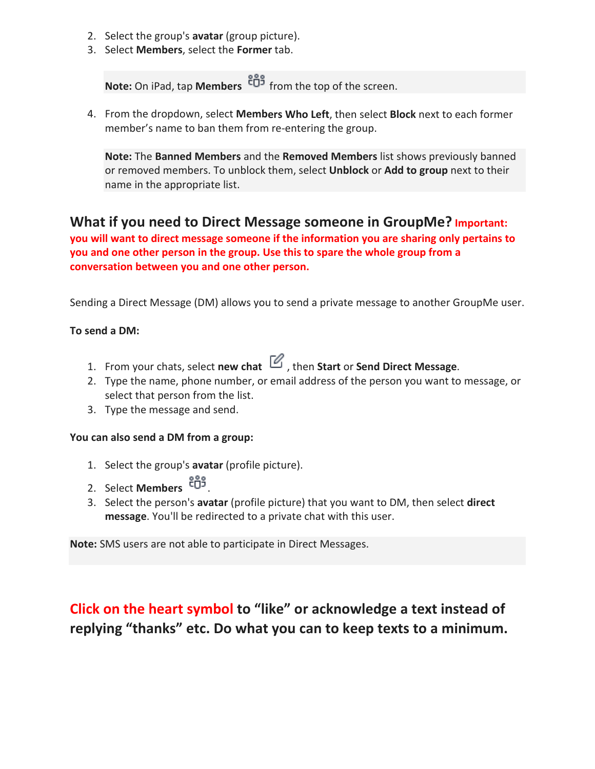- 2. Select the group's **avatar** (group picture).
- 3. Select **Members**, select the **Former** tab.

**Note:** On iPad, tap **Members** from the top of the screen.

4. From the dropdown, select **Members Who Left**, then select **Block** next to each former member's name to ban them from re-entering the group.

**Note:** The **Banned Members** and the **Removed Members** list shows previously banned or removed members. To unblock them, select **Unblock** or **Add to group** next to their name in the appropriate list.

## **What if you need to Direct Message someone in GroupMe? Important:**

**you will want to direct message someone if the information you are sharing only pertains to you and one other person in the group. Use this to spare the whole group from a conversation between you and one other person.** 

Sending a Direct Message (DM) allows you to send a private message to another GroupMe user.

#### **To send a DM:**

- 1. From your chats, select **new chat** , then **Start** or **Send Direct Message**.
- 2. Type the name, phone number, or email address of the person you want to message, or select that person from the list.
- 3. Type the message and send.

#### **You can also send a DM from a group:**

- 1. Select the group's **avatar** (profile picture).
- 2. Select **Members** .
- 3. Select the person's **avatar** (profile picture) that you want to DM, then select **direct message**. You'll be redirected to a private chat with this user.

**Note:** SMS users are not able to participate in Direct Messages.

# **Click on the heart symbol to "like" or acknowledge a text instead of replying "thanks" etc. Do what you can to keep texts to a minimum.**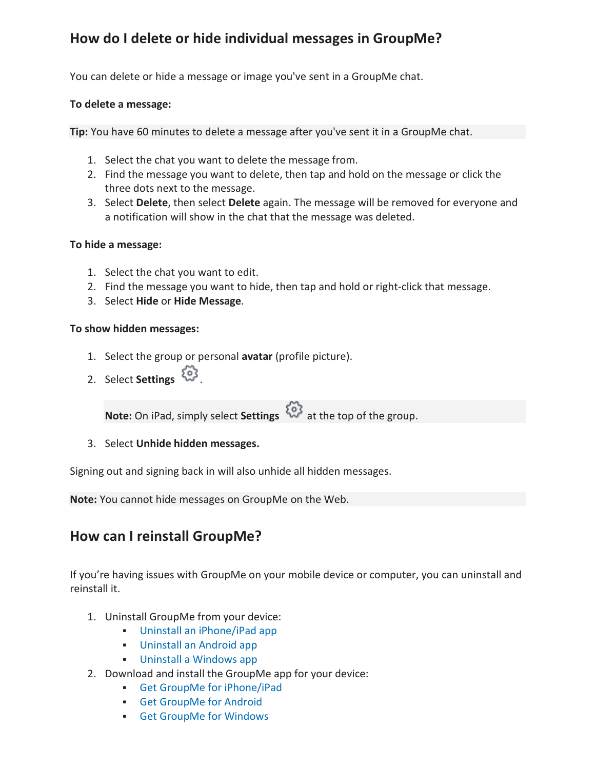# **How do I delete or hide individual messages in GroupMe?**

You can delete or hide a message or image you've sent in a GroupMe chat.

#### **To delete a message:**

**Tip:** You have 60 minutes to delete a message after you've sent it in a GroupMe chat.

- 1. Select the chat you want to delete the message from.
- 2. Find the message you want to delete, then tap and hold on the message or click the three dots next to the message.
- 3. Select **Delete**, then select **Delete** again. The message will be removed for everyone and a notification will show in the chat that the message was deleted.

#### **To hide a message:**

- 1. Select the chat you want to edit.
- 2. Find the message you want to hide, then tap and hold or right-click that message.
- 3. Select **Hide** or **Hide Message**.

#### **To show hidden messages:**

- 1. Select the group or personal **avatar** (profile picture).
- 2. Select **Settings** .

**Note:** On iPad, simply select **Settings** at the top of the group.

3. Select **Unhide hidden messages.**

Signing out and signing back in will also unhide all hidden messages.

**Note:** You cannot hide messages on GroupMe on the Web.

## **How can I reinstall GroupMe?**

If you're having issues with GroupMe on your mobile device or computer, you can uninstall and reinstall it.

- 1. Uninstall GroupMe from your device:
	- [Uninstall an iPhone/iPad app](https://support.apple.com/HT207618)
	- [Uninstall an Android app](https://support.google.com/googleplay/answer/2521768)
	- [Uninstall a Windows app](https://support.microsoft.com/en-us/windows/uninstall-or-remove-apps-and-programs-in-windows-10-4b55f974-2cc6-2d2b-d092-5905080eaf98)
- 2. Download and install the GroupMe app for your device:
	- [Get GroupMe for iPhone/iPad](https://apps.apple.com/app/groupme/id392796698)
	- [Get GroupMe for Android](https://play.google.com/store/apps/details?id=com.groupme.android)
	- [Get GroupMe for Windows](https://www.microsoft.com/p/groupme/9nblggh5z4f2)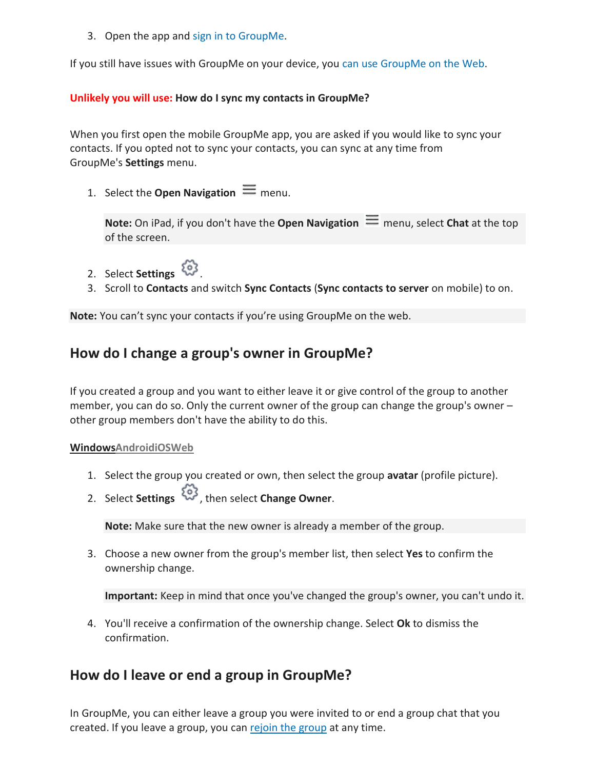3. Open the app and [sign in to GroupMe.](https://support.microsoft.com/en-us/office/how-do-i-set-up-groupme-c1a4b366-bfe0-4591-a6b9-8f0e5f5372d1)

If you still have issues with GroupMe on your device, you [can use GroupMe on the Web.](https://web.groupme.com/)

#### **Unlikely you will use: How do I sync my contacts in GroupMe?**

When you first open the mobile GroupMe app, you are asked if you would like to sync your contacts. If you opted not to sync your contacts, you can sync at any time from GroupMe's **Settings** menu.

1. Select the **Open Navigation**  $\equiv$  menu.

**Note:** On iPad, if you don't have the **Open Navigation**  $\equiv$  menu, select **Chat** at the top of the screen.

- 2. Select **Settings** .
- 3. Scroll to **Contacts** and switch **Sync Contacts** (**Sync contacts to server** on mobile) to on.

**Note:** You can't sync your contacts if you're using GroupMe on the web.

## **How do I change a group's owner in GroupMe?**

If you created a group and you want to either leave it or give control of the group to another member, you can do so. Only the current owner of the group can change the group's owner – other group members don't have the ability to do this.

#### **[WindowsAndroidiOSWeb](javascript:)**

- 1. Select the group you created or own, then select the group **avatar** (profile picture).
- 2. Select **Settings** , then select **Change Owner**.

**Note:** Make sure that the new owner is already a member of the group.

3. Choose a new owner from the group's member list, then select **Yes** to confirm the ownership change.

**Important:** Keep in mind that once you've changed the group's owner, you can't undo it.

4. You'll receive a confirmation of the ownership change. Select **Ok** to dismiss the confirmation.

## **How do I leave or end a group in GroupMe?**

In GroupMe, you can either leave a group you were invited to or end a group chat that you created. If you leave a group, you can [rejoin the group](https://support.microsoft.com/en-us/office/how-do-i-join-or-rejoin-an-existing-group-in-groupme-1605b30a-8875-47fe-b027-7d85b62f5699) at any time.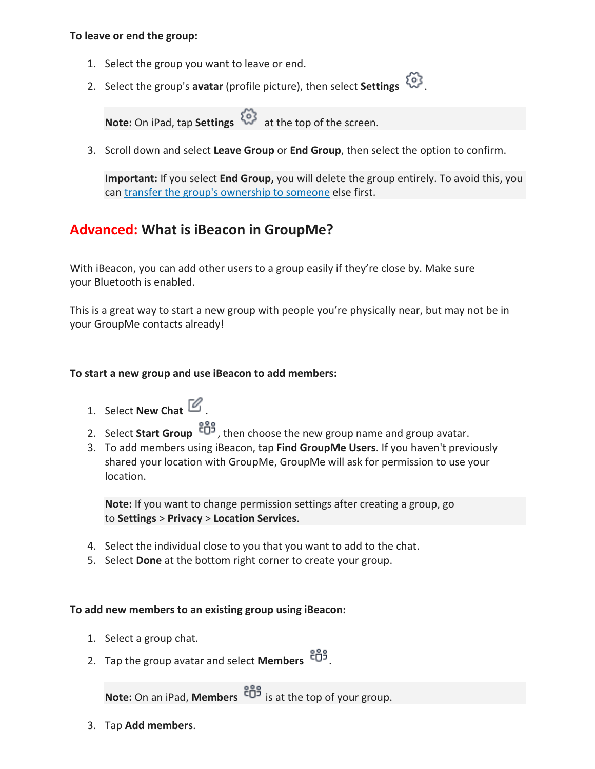#### **To leave or end the group:**

- 1. Select the group you want to leave or end.
- 2. Select the group's **avatar** (profile picture), then select **Settings** .

**Note:** On iPad, tap **Settings** at the top of the screen.

3. Scroll down and select **Leave Group** or **End Group**, then select the option to confirm.

**Important:** If you select **End Group,** you will delete the group entirely. To avoid this, you can [transfer the group's ownership](https://support.microsoft.com/en-us/office/how-do-i-transfer-ownership-of-a-group-in-groupme-8c1404d9-cf61-433e-9488-ee4427c4fdaf) to someone else first.

## **Advanced: What is iBeacon in GroupMe?**

With iBeacon, you can add other users to a group easily if they're close by. Make sure your Bluetooth is enabled.

This is a great way to start a new group with people you're physically near, but may not be in your GroupMe contacts already!

#### **To start a new group and use iBeacon to add members:**

- 1. Select **New Chat**  $\mathbb{C}$
- 2. Select **Start Group**  $\frac{25}{100}$ , then choose the new group name and group avatar.
- 3. To add members using iBeacon, tap **Find GroupMe Users**. If you haven't previously shared your location with GroupMe, GroupMe will ask for permission to use your location.

**Note:** If you want to change permission settings after creating a group, go to **Settings** > **Privacy** > **Location Services**.

- 4. Select the individual close to you that you want to add to the chat.
- 5. Select **Done** at the bottom right corner to create your group.

#### **To add new members to an existing group using iBeacon:**

- 1. Select a group chat.
- 2. Tap the group avatar and select **Members** 记号

**Note:** On an iPad, **Members**  $\frac{e^{2}}{2}$  is at the top of your group.

3. Tap **Add members**.